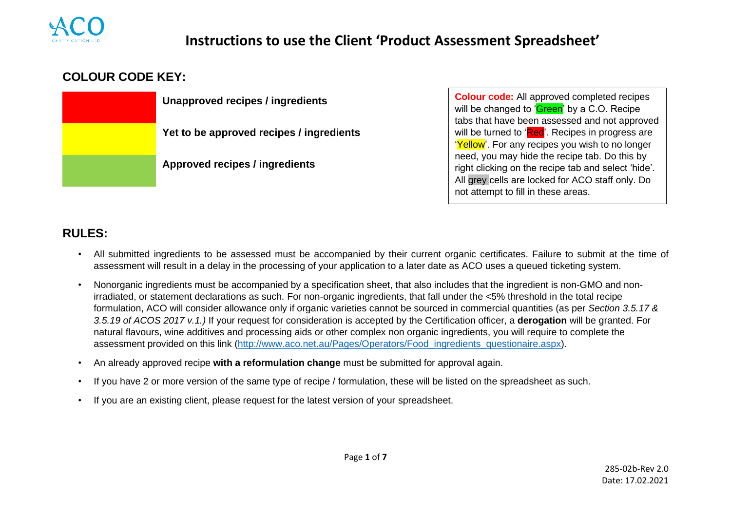

# **Instructions to use the Client 'Product Assessment Spreadsheet'**

## **COLOUR CODE KEY:**

**Unapproved recipes / ingredients**

**Yet to be approved recipes / ingredients**

**Approved recipes / ingredients**

**Colour code:** All approved completed recipes will be changed to '**Green'** by a C.O. Recipe tabs that have been assessed and not approved will be turned to 'Red'. Recipes in progress are 'Yellow'. For any recipes you wish to no longer need, you may hide the recipe tab. Do this by right clicking on the recipe tab and select 'hide'. All grey cells are locked for ACO staff only. Do not attempt to fill in these areas.

## **RULES:**

- All submitted ingredients to be assessed must be accompanied by their current organic certificates. Failure to submit at the time of assessment will result in a delay in the processing of your application to a later date as ACO uses a queued ticketing system.
- Nonorganic ingredients must be accompanied by a specification sheet, that also includes that the ingredient is non-GMO and nonirradiated, or statement declarations as such. For non-organic ingredients, that fall under the <5% threshold in the total recipe formulation, ACO will consider allowance only if organic varieties cannot be sourced in commercial quantities (as per *Section 3.5.17 & 3.5.19 of ACOS 2017 v.1.)* If your request for consideration is accepted by the Certification officer, a **derogation** will be granted. For natural flavours, wine additives and processing aids or other complex non organic ingredients, you will require to complete the assessment provided on this link [\(http://www.aco.net.au/Pages/Operators/Food\\_ingredients\\_questionaire.aspx\)](http://www.aco.net.au/Pages/Operators/Food_ingredients_questionaire.aspx).
- An already approved recipe **with a reformulation change** must be submitted for approval again.
- If you have 2 or more version of the same type of recipe / formulation, these will be listed on the spreadsheet as such.
- If you are an existing client, please request for the latest version of your spreadsheet.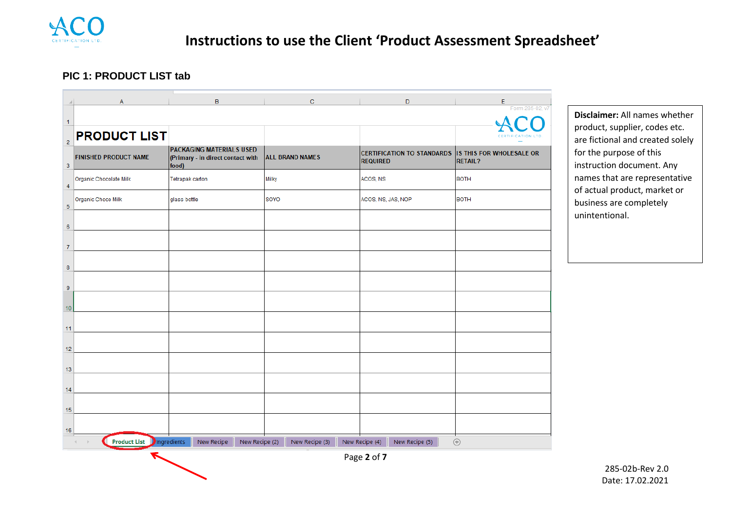

#### **PIC 1: PRODUCT LIST tab**

|                | A                                | $\mathbf{B}$                                                                  | $\mathbf C$            | $\mathsf{D}$                                                           | E<br>Form 285-02, v7 |
|----------------|----------------------------------|-------------------------------------------------------------------------------|------------------------|------------------------------------------------------------------------|----------------------|
| $\mathbf{1}$   |                                  |                                                                               |                        |                                                                        |                      |
| $\overline{2}$ | <b>PRODUCT LIST</b>              |                                                                               |                        |                                                                        |                      |
| 3              | <b>FINISHED PRODUCT NAME</b>     | <b>PACKAGING MATERIALS USED</b><br>(Primary - in direct contact with<br>food) | <b>ALL BRAND NAMES</b> | CERTIFICATION TO STANDARDS IS THIS FOR WHOLESALE OR<br><b>REQUIRED</b> | <b>RETAIL?</b>       |
| $\overline{4}$ | Organic Chocolate Milk           | Tetrapak carton                                                               | Milky                  | ACOS, NS                                                               | <b>BOTH</b>          |
| 5              | Organic Choco Milk               | glass bottle                                                                  | SOYO                   | ACOS, NS, JAS, NOP                                                     | <b>BOTH</b>          |
| 6              |                                  |                                                                               |                        |                                                                        |                      |
| $\overline{7}$ |                                  |                                                                               |                        |                                                                        |                      |
| 8              |                                  |                                                                               |                        |                                                                        |                      |
| 9              |                                  |                                                                               |                        |                                                                        |                      |
| 10             |                                  |                                                                               |                        |                                                                        |                      |
| 11             |                                  |                                                                               |                        |                                                                        |                      |
| 12             |                                  |                                                                               |                        |                                                                        |                      |
| 13             |                                  |                                                                               |                        |                                                                        |                      |
| 14             |                                  |                                                                               |                        |                                                                        |                      |
| 15             |                                  |                                                                               |                        |                                                                        |                      |
| 16             |                                  |                                                                               |                        |                                                                        |                      |
|                | <b>Product List</b> Pingredients | New Recipe<br>New Recipe (2)                                                  | New Recipe (3)         | New Recipe (4)<br>New Recipe (5)                                       | $\bigoplus$          |

**Disclaimer:** All names whether product, supplier, codes etc. are fictional and created solely for the purpose of this instruction document. Any names that are representative of actual product, market or business are completely unintentional.

Page **2** of **7**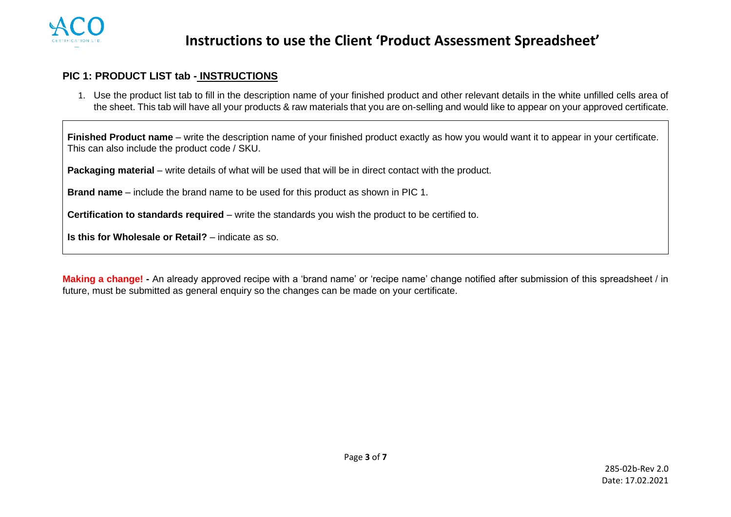

#### **PIC 1: PRODUCT LIST tab - INSTRUCTIONS**

1. Use the product list tab to fill in the description name of your finished product and other relevant details in the white unfilled cells area of the sheet. This tab will have all your products & raw materials that you are on-selling and would like to appear on your approved certificate.

**Finished Product name** – write the description name of your finished product exactly as how you would want it to appear in your certificate. This can also include the product code / SKU.

**Packaging material** – write details of what will be used that will be in direct contact with the product.

**Brand name** – include the brand name to be used for this product as shown in PIC 1.

**Certification to standards required** – write the standards you wish the product to be certified to.

**Is this for Wholesale or Retail?** – indicate as so.

**Making a change! -** An already approved recipe with a 'brand name' or 'recipe name' change notified after submission of this spreadsheet / in future, must be submitted as general enquiry so the changes can be made on your certificate.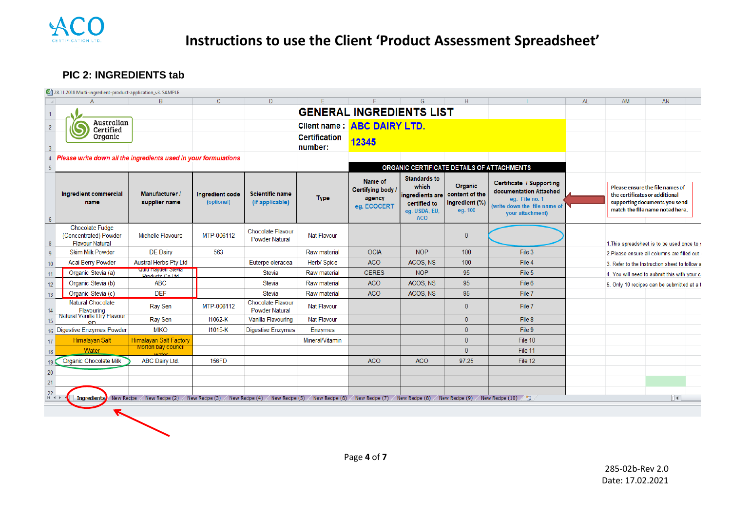

### **PIC 2: INGREDIENTS tab**

| $\overline{A}$                                                            | $\overline{B}$                                | $\mathbf{C}$                  | D                                                 | E                               | F                                                                                                                                                                                                                       | G                                                                                              | H                                                      |                                                                                                                                 | <b>AL</b> | AM | AN                                                                                                                                    |
|---------------------------------------------------------------------------|-----------------------------------------------|-------------------------------|---------------------------------------------------|---------------------------------|-------------------------------------------------------------------------------------------------------------------------------------------------------------------------------------------------------------------------|------------------------------------------------------------------------------------------------|--------------------------------------------------------|---------------------------------------------------------------------------------------------------------------------------------|-----------|----|---------------------------------------------------------------------------------------------------------------------------------------|
|                                                                           |                                               |                               |                                                   |                                 | <b>GENERAL INGREDIENTS LIST</b>                                                                                                                                                                                         |                                                                                                |                                                        |                                                                                                                                 |           |    |                                                                                                                                       |
| Australian<br>Certified                                                   |                                               |                               |                                                   |                                 | Client name: ABC DAIRY LTD.                                                                                                                                                                                             |                                                                                                |                                                        |                                                                                                                                 |           |    |                                                                                                                                       |
| Organic                                                                   |                                               |                               |                                                   | <b>Certification</b><br>number: | 12345                                                                                                                                                                                                                   |                                                                                                |                                                        |                                                                                                                                 |           |    |                                                                                                                                       |
| Please write down all the ingredients used in your formulations           |                                               |                               |                                                   |                                 |                                                                                                                                                                                                                         |                                                                                                |                                                        |                                                                                                                                 |           |    |                                                                                                                                       |
|                                                                           |                                               |                               |                                                   |                                 |                                                                                                                                                                                                                         | ORGANIC CERTIFICATE DETAILS OF ATTACHMENTS                                                     |                                                        |                                                                                                                                 |           |    |                                                                                                                                       |
| Ingredient commercial<br>name                                             | <b>Manufacturer /</b><br>supplier name        | Ingredient code<br>(optional) | <b>Scientific name</b><br>(if applicable)         | <b>Type</b>                     | Name of<br><b>Certifying body /</b><br>agency<br>eg. ECOCERT                                                                                                                                                            | <b>Standards to</b><br>which<br>ingredients are<br>certified to<br>eg. USDA, EU,<br><b>ACO</b> | Organic<br>content of the<br>ingredient (%)<br>eg. 100 | <b>Certificate / Supporting</b><br>documentation Attached<br>eq. File no. 1<br>(write down the file name of<br>your attachment) |           |    | Please ensure the file names of<br>the certificates or additional<br>supporting documents you send<br>match the file name noted here. |
| <b>Chocolate Fudge</b><br>(Concentrated) Powder<br><b>Flavour Natural</b> | Michelle Flavours                             | MTP-006112                    | Chocolate Flavour<br><b>Powder Natural</b>        | Nat Flavour                     |                                                                                                                                                                                                                         |                                                                                                | $\Omega$                                               |                                                                                                                                 |           |    | 1. This spreadsheet is to be used once to a                                                                                           |
| <b>Skim Milk Powder</b>                                                   | <b>DE Dairy</b>                               | 563                           |                                                   | Raw material                    | <b>OCIA</b>                                                                                                                                                                                                             | <b>NOP</b>                                                                                     | 100                                                    | File 3                                                                                                                          |           |    | 2. Please ensure all columns are filled out                                                                                           |
| <b>Acai Berry Powder</b><br>10 <sup>°</sup>                               | Austral Herbs Pty Ltd                         |                               | Euterpe oleracea                                  | Herb/ Spice                     | <b>ACO</b>                                                                                                                                                                                                              | ACOS, NS                                                                                       | 100                                                    | File 4                                                                                                                          |           |    | 3. Refer to the Instruction sheet to follow a                                                                                         |
| Organic Stevia (a)                                                        | <b>QUIL REVOCH STEVIE</b><br>Products Coll td |                               | <b>Stevia</b>                                     | Raw material                    | <b>CERES</b>                                                                                                                                                                                                            | <b>NOP</b>                                                                                     | 95                                                     | File 5                                                                                                                          |           |    | 4. You will need to submit this with your co                                                                                          |
| Organic Stevia (b)<br>12 <sup>°</sup>                                     | <b>ABC</b>                                    |                               | <b>Stevia</b>                                     | Raw material                    | <b>ACO</b>                                                                                                                                                                                                              | ACOS, NS                                                                                       | 95                                                     | File 6                                                                                                                          |           |    | 5. Only 10 recipes can be submitted at a t                                                                                            |
| Organic Stevia (c)<br>13 <sup>°</sup>                                     | <b>DEF</b>                                    |                               | <b>Stevia</b>                                     | Raw material                    | <b>ACO</b>                                                                                                                                                                                                              | ACOS, NS                                                                                       | 95                                                     | File 7                                                                                                                          |           |    |                                                                                                                                       |
| Natural Chocolate<br>Flavouring<br>14                                     | Ray Sen                                       | MTP-006112                    | <b>Chocolate Flavour</b><br><b>Powder Natural</b> | <b>Nat Flavour</b>              |                                                                                                                                                                                                                         |                                                                                                | $\mathbf{0}$                                           | File 7                                                                                                                          |           |    |                                                                                                                                       |
| Natural Vanilla Dry Flavour<br>15.<br><b>CD</b>                           | <b>Ray Sen</b>                                | 11062-K                       | Vanilla Flavouring                                | Nat Flavour                     |                                                                                                                                                                                                                         |                                                                                                | $\mathbf{0}$                                           | File 8                                                                                                                          |           |    |                                                                                                                                       |
| 16 Digestive Enzymes Powder                                               | <b>MIKO</b>                                   | 11015-K                       | <b>Digestive Enzymes</b>                          | <b>Enzymes</b>                  |                                                                                                                                                                                                                         |                                                                                                | $\mathbf{0}$                                           | File 9                                                                                                                          |           |    |                                                                                                                                       |
| <b>Himalayan Salt</b><br>17 <sup>2</sup>                                  | <b>Himalayan Salt Factory</b>                 |                               |                                                   | Mineral/Vitamin                 |                                                                                                                                                                                                                         |                                                                                                | $\mathbf{0}$                                           | File 10                                                                                                                         |           |    |                                                                                                                                       |
| Water<br>18 <sup>°</sup>                                                  | <b>Morton bay council</b>                     |                               |                                                   |                                 |                                                                                                                                                                                                                         |                                                                                                | $\mathbf{0}$                                           | File 11                                                                                                                         |           |    |                                                                                                                                       |
| Organic Chocolate Milk                                                    | <b>ABC Dairy Ltd.</b>                         | 156FD                         |                                                   |                                 | <b>ACO</b>                                                                                                                                                                                                              | <b>ACO</b>                                                                                     | 97.25                                                  | File 12                                                                                                                         |           |    |                                                                                                                                       |
| 20<br>21                                                                  |                                               |                               |                                                   |                                 |                                                                                                                                                                                                                         |                                                                                                |                                                        |                                                                                                                                 |           |    |                                                                                                                                       |
| $H - 4$                                                                   |                                               |                               |                                                   |                                 | Ingredients) New Recipe / New Recipe (2) / New Recipe (3) / New Recipe (4) / New Recipe (5) / New Recipe (6) / New Recipe (7) / New Recipe (8) / New Recipe (9) / New Recipe (9) / New Recipe (9) / New Recipe (10) / 2 |                                                                                                |                                                        |                                                                                                                                 |           |    | $\Box$ + $\Box$                                                                                                                       |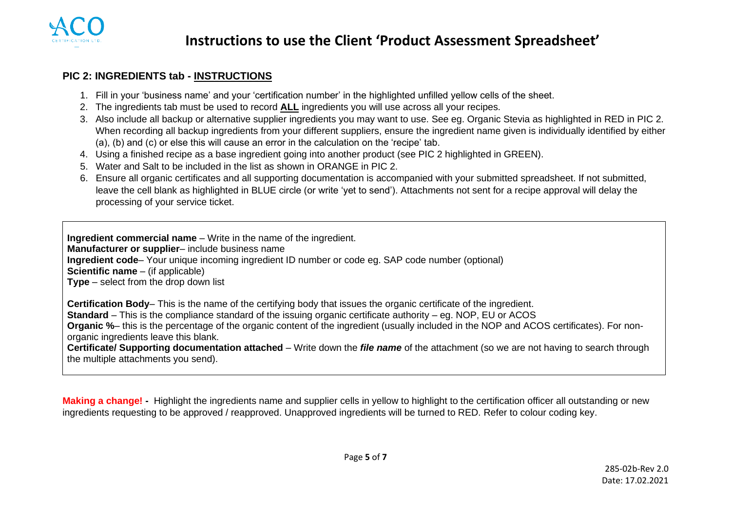

#### **PIC 2: INGREDIENTS tab - INSTRUCTIONS**

- 1. Fill in your 'business name' and your 'certification number' in the highlighted unfilled yellow cells of the sheet.
- 2. The ingredients tab must be used to record **ALL** ingredients you will use across all your recipes.
- 3. Also include all backup or alternative supplier ingredients you may want to use. See eg. Organic Stevia as highlighted in RED in PIC 2. When recording all backup ingredients from your different suppliers, ensure the ingredient name given is individually identified by either (a), (b) and (c) or else this will cause an error in the calculation on the 'recipe' tab.
- 4. Using a finished recipe as a base ingredient going into another product (see PIC 2 highlighted in GREEN).
- 5. Water and Salt to be included in the list as shown in ORANGE in PIC 2.
- 6. Ensure all organic certificates and all supporting documentation is accompanied with your submitted spreadsheet. If not submitted, leave the cell blank as highlighted in BLUE circle (or write 'yet to send'). Attachments not sent for a recipe approval will delay the processing of your service ticket.

**Ingredient commercial name** – Write in the name of the ingredient. **Manufacturer or supplier**– include business name **Ingredient code**– Your unique incoming ingredient ID number or code eg. SAP code number (optional) **Scientific name** – (if applicable) **Type** – select from the drop down list

**Certification Body**– This is the name of the certifying body that issues the organic certificate of the ingredient. **Standard** – This is the compliance standard of the issuing organic certificate authority – eg. NOP, EU or ACOS **Organic %**– this is the percentage of the organic content of the ingredient (usually included in the NOP and ACOS certificates). For non-

organic ingredients leave this blank.

**Certificate/ Supporting documentation attached** – Write down the *file name* of the attachment (so we are not having to search through the multiple attachments you send).

**Making a change! -** Highlight the ingredients name and supplier cells in yellow to highlight to the certification officer all outstanding or new ingredients requesting to be approved / reapproved. Unapproved ingredients will be turned to RED. Refer to colour coding key.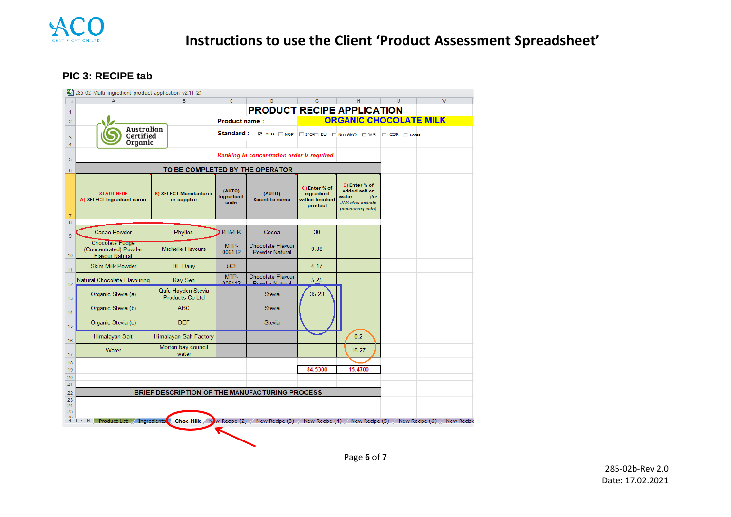

#### **PIC 3: RECIPE tab**

|                | 图 285-02_Multi-ingredient-product-application_v2.11 (2)            |                                                       |                              |                                                   |                                                           |                                                                                                       |    |                                          |
|----------------|--------------------------------------------------------------------|-------------------------------------------------------|------------------------------|---------------------------------------------------|-----------------------------------------------------------|-------------------------------------------------------------------------------------------------------|----|------------------------------------------|
|                |                                                                    | R                                                     | c                            | D                                                 | G                                                         | H                                                                                                     | U. | $\vee$                                   |
| $\mathbf{1}$   |                                                                    |                                                       |                              | <b>PRODUCT RECIPE APPLICATION</b>                 |                                                           |                                                                                                       |    |                                          |
| $\overline{2}$ |                                                                    |                                                       | <b>Product name:</b>         |                                                   |                                                           | <b>ORGANIC CHOCOLATE MILK</b>                                                                         |    |                                          |
| 3<br>4         | Australian<br>Certified<br>Organic                                 |                                                       | Standard:                    |                                                   |                                                           | $\overline{M}$ ACO $\Box$ NOP $\Box$ IFO/ $\Box$ EU $\Box$ Non-GMO $\Box$ JAS $\Box$ COR $\Box$ Korea |    |                                          |
| 5              |                                                                    |                                                       |                              | Ranking in concentration order is required        |                                                           |                                                                                                       |    |                                          |
| $\sqrt{6}$     |                                                                    | TO BE COMPLETED BY THE OPERATOR                       |                              |                                                   |                                                           |                                                                                                       |    |                                          |
| $\overline{7}$ | <b>START HERE</b><br>A) SELECT Ingredient name                     | <b>B) SELECT Manufacturer</b><br>or supplier          | (AUTO)<br>Ingredient<br>code | (AUTO)<br><b>Scientific name</b>                  | C) Enter % of<br>ingredient<br>within finished<br>product | D) Enter % of<br>added salt or<br>water<br>(for<br>JAS also include<br>processing aids)               |    |                                          |
| 8<br>9         | Cacao Powder                                                       | Phyllos                                               | 14154-K                      | Cocoa                                             | 30                                                        |                                                                                                       |    |                                          |
| 10             | Chocolate Fugge<br>(Concentrated) Powder<br><b>Flavour Natural</b> | <b>Michelle Flavours</b>                              | MTP-<br>006112               | <b>Chocolate Flavour</b><br><b>Powder Natural</b> | 9.88                                                      |                                                                                                       |    |                                          |
| 11             | <b>Skim Milk Powder</b>                                            | DE Dairy                                              | 563                          |                                                   | 4.17                                                      |                                                                                                       |    |                                          |
| 12             | Natural Chocolate Flavouring                                       | Ray Sen                                               | MTP-<br>006112               | Chocolate Flavour<br>Powder Natural               | 5.25                                                      |                                                                                                       |    |                                          |
| 13             | Organic Stevia (a)                                                 | Qufu Hayden Stevia<br>Products Co Ltd                 |                              | <b>Stevia</b>                                     | 35.23                                                     |                                                                                                       |    |                                          |
| 14             | Organic Stevia (b)                                                 | ABC                                                   |                              | <b>Stevia</b>                                     |                                                           |                                                                                                       |    |                                          |
| 15             | Organic Stevia (c)                                                 | <b>DEF</b>                                            |                              | <b>Stevia</b>                                     |                                                           |                                                                                                       |    |                                          |
| 16             | Himalayan Salt                                                     | Himalayan Salt Factory                                |                              |                                                   |                                                           | 0.2                                                                                                   |    |                                          |
| 17             | Water                                                              | Morton bay council<br>water                           |                              |                                                   |                                                           | 15.27                                                                                                 |    |                                          |
| 18<br>19       |                                                                    |                                                       |                              |                                                   | 84.5300                                                   | 15.4700                                                                                               |    |                                          |
| 20             |                                                                    |                                                       |                              |                                                   |                                                           |                                                                                                       |    |                                          |
| 21             |                                                                    |                                                       |                              |                                                   |                                                           |                                                                                                       |    |                                          |
| 22<br>23       |                                                                    | BRIEF DESCRIPTION OF THE MANUFACTURING PROCESS        |                              |                                                   |                                                           |                                                                                                       |    |                                          |
| 24             |                                                                    |                                                       |                              |                                                   |                                                           |                                                                                                       |    |                                          |
| 25<br>26       |                                                                    |                                                       |                              |                                                   |                                                           |                                                                                                       |    |                                          |
|                | $M \leftarrow M$                                                   | Product List / Ingredients C Choc Milk N/w Recipe (2) |                              | New Recipe (3) New Recipe (4)                     |                                                           |                                                                                                       |    | New Recipe (5) New Recipe (6) New Recipe |
|                |                                                                    |                                                       |                              |                                                   |                                                           |                                                                                                       |    |                                          |
|                |                                                                    |                                                       |                              |                                                   |                                                           |                                                                                                       |    |                                          |

Page **6** of **7**